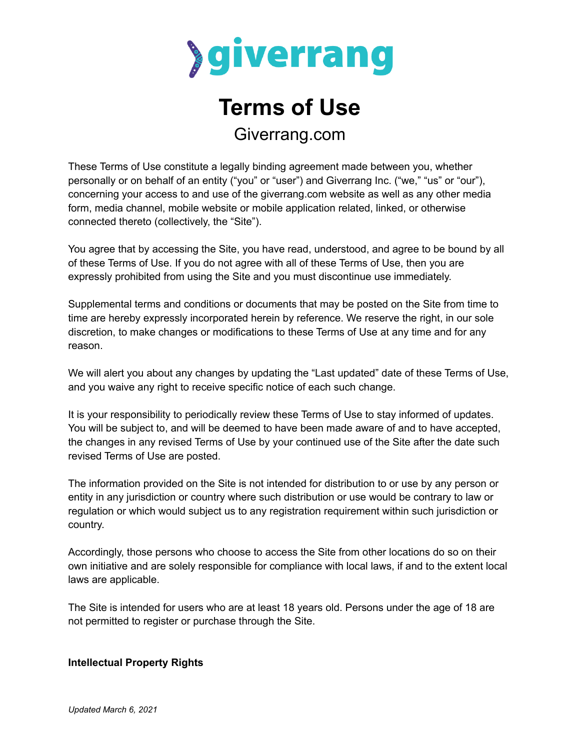

# **Terms of Use** Giverrang.com

These Terms of Use constitute a legally binding agreement made between you, whether personally or on behalf of an entity ("you" or "user") and Giverrang Inc. ("we," "us" or "our"), concerning your access to and use of the giverrang.com website as well as any other media form, media channel, mobile website or mobile application related, linked, or otherwise connected thereto (collectively, the "Site").

You agree that by accessing the Site, you have read, understood, and agree to be bound by all of these Terms of Use. If you do not agree with all of these Terms of Use, then you are expressly prohibited from using the Site and you must discontinue use immediately.

Supplemental terms and conditions or documents that may be posted on the Site from time to time are hereby expressly incorporated herein by reference. We reserve the right, in our sole discretion, to make changes or modifications to these Terms of Use at any time and for any reason.

We will alert you about any changes by updating the "Last updated" date of these Terms of Use, and you waive any right to receive specific notice of each such change.

It is your responsibility to periodically review these Terms of Use to stay informed of updates. You will be subject to, and will be deemed to have been made aware of and to have accepted, the changes in any revised Terms of Use by your continued use of the Site after the date such revised Terms of Use are posted.

The information provided on the Site is not intended for distribution to or use by any person or entity in any jurisdiction or country where such distribution or use would be contrary to law or regulation or which would subject us to any registration requirement within such jurisdiction or country.

Accordingly, those persons who choose to access the Site from other locations do so on their own initiative and are solely responsible for compliance with local laws, if and to the extent local laws are applicable.

The Site is intended for users who are at least 18 years old. Persons under the age of 18 are not permitted to register or purchase through the Site.

## **Intellectual Property Rights**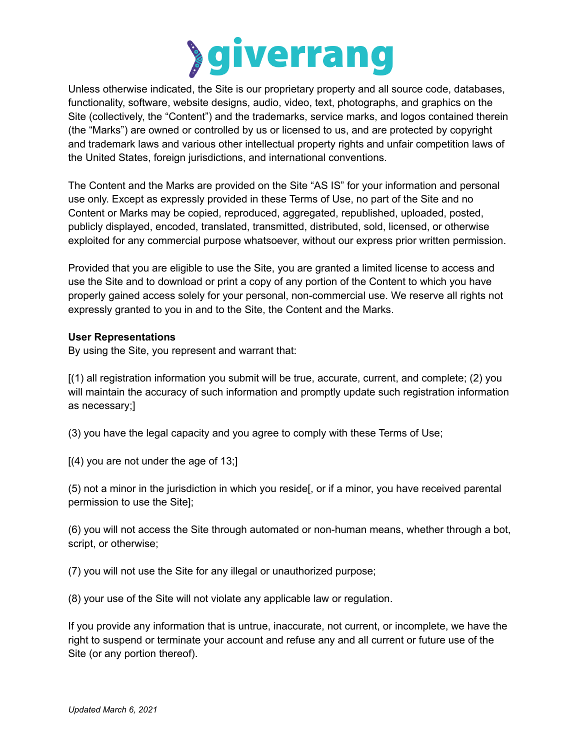

Unless otherwise indicated, the Site is our proprietary property and all source code, databases, functionality, software, website designs, audio, video, text, photographs, and graphics on the Site (collectively, the "Content") and the trademarks, service marks, and logos contained therein (the "Marks") are owned or controlled by us or licensed to us, and are protected by copyright and trademark laws and various other intellectual property rights and unfair competition laws of the United States, foreign jurisdictions, and international conventions.

The Content and the Marks are provided on the Site "AS IS" for your information and personal use only. Except as expressly provided in these Terms of Use, no part of the Site and no Content or Marks may be copied, reproduced, aggregated, republished, uploaded, posted, publicly displayed, encoded, translated, transmitted, distributed, sold, licensed, or otherwise exploited for any commercial purpose whatsoever, without our express prior written permission.

Provided that you are eligible to use the Site, you are granted a limited license to access and use the Site and to download or print a copy of any portion of the Content to which you have properly gained access solely for your personal, non-commercial use. We reserve all rights not expressly granted to you in and to the Site, the Content and the Marks.

#### **User Representations**

By using the Site, you represent and warrant that:

[(1) all registration information you submit will be true, accurate, current, and complete; (2) you will maintain the accuracy of such information and promptly update such registration information as necessary;]

(3) you have the legal capacity and you agree to comply with these Terms of Use;

[(4) you are not under the age of 13;]

(5) not a minor in the jurisdiction in which you reside[, or if a minor, you have received parental permission to use the Site];

(6) you will not access the Site through automated or non-human means, whether through a bot, script, or otherwise;

(7) you will not use the Site for any illegal or unauthorized purpose;

(8) your use of the Site will not violate any applicable law or regulation.

If you provide any information that is untrue, inaccurate, not current, or incomplete, we have the right to suspend or terminate your account and refuse any and all current or future use of the Site (or any portion thereof).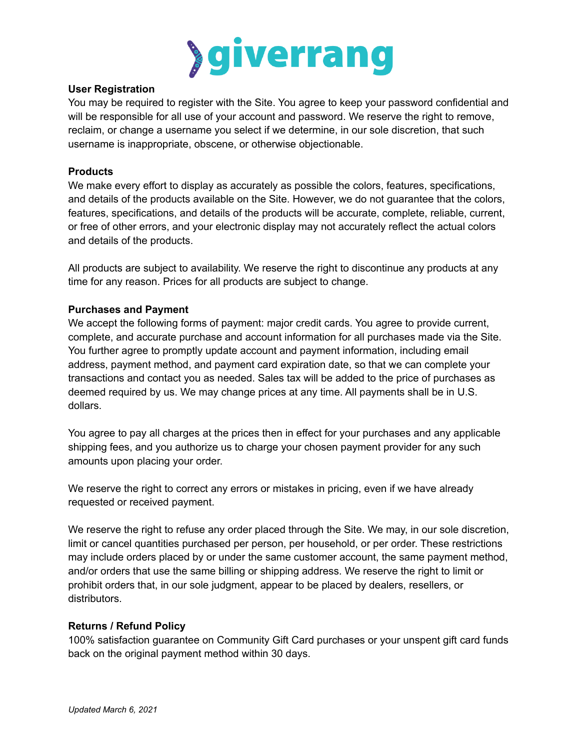

#### **User Registration**

You may be required to register with the Site. You agree to keep your password confidential and will be responsible for all use of your account and password. We reserve the right to remove, reclaim, or change a username you select if we determine, in our sole discretion, that such username is inappropriate, obscene, or otherwise objectionable.

#### **Products**

We make every effort to display as accurately as possible the colors, features, specifications, and details of the products available on the Site. However, we do not guarantee that the colors, features, specifications, and details of the products will be accurate, complete, reliable, current, or free of other errors, and your electronic display may not accurately reflect the actual colors and details of the products.

All products are subject to availability. We reserve the right to discontinue any products at any time for any reason. Prices for all products are subject to change.

#### **Purchases and Payment**

We accept the following forms of payment: major credit cards. You agree to provide current, complete, and accurate purchase and account information for all purchases made via the Site. You further agree to promptly update account and payment information, including email address, payment method, and payment card expiration date, so that we can complete your transactions and contact you as needed. Sales tax will be added to the price of purchases as deemed required by us. We may change prices at any time. All payments shall be in U.S. dollars.

You agree to pay all charges at the prices then in effect for your purchases and any applicable shipping fees, and you authorize us to charge your chosen payment provider for any such amounts upon placing your order.

We reserve the right to correct any errors or mistakes in pricing, even if we have already requested or received payment.

We reserve the right to refuse any order placed through the Site. We may, in our sole discretion, limit or cancel quantities purchased per person, per household, or per order. These restrictions may include orders placed by or under the same customer account, the same payment method, and/or orders that use the same billing or shipping address. We reserve the right to limit or prohibit orders that, in our sole judgment, appear to be placed by dealers, resellers, or distributors.

#### **Returns / Refund Policy**

100% satisfaction guarantee on Community Gift Card purchases or your unspent gift card funds back on the original payment method within 30 days.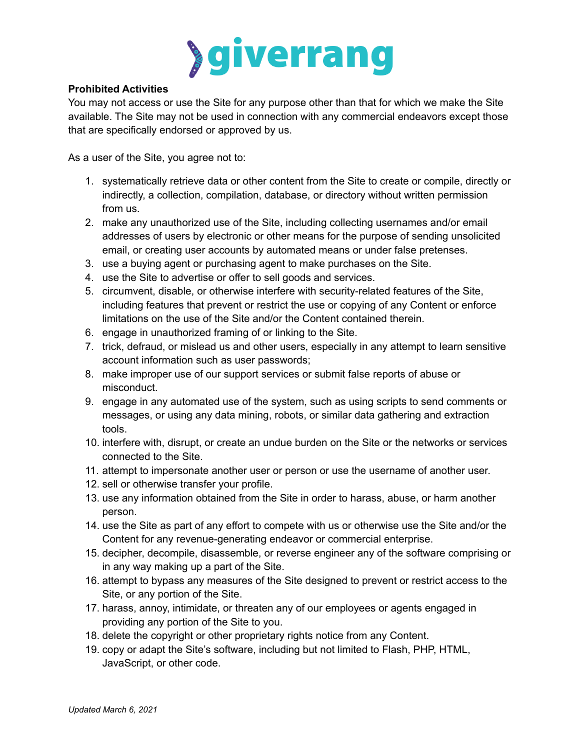

## **Prohibited Activities**

You may not access or use the Site for any purpose other than that for which we make the Site available. The Site may not be used in connection with any commercial endeavors except those that are specifically endorsed or approved by us.

As a user of the Site, you agree not to:

- 1. systematically retrieve data or other content from the Site to create or compile, directly or indirectly, a collection, compilation, database, or directory without written permission from us.
- 2. make any unauthorized use of the Site, including collecting usernames and/or email addresses of users by electronic or other means for the purpose of sending unsolicited email, or creating user accounts by automated means or under false pretenses.
- 3. use a buying agent or purchasing agent to make purchases on the Site.
- 4. use the Site to advertise or offer to sell goods and services.
- 5. circumvent, disable, or otherwise interfere with security-related features of the Site, including features that prevent or restrict the use or copying of any Content or enforce limitations on the use of the Site and/or the Content contained therein.
- 6. engage in unauthorized framing of or linking to the Site.
- 7. trick, defraud, or mislead us and other users, especially in any attempt to learn sensitive account information such as user passwords;
- 8. make improper use of our support services or submit false reports of abuse or misconduct.
- 9. engage in any automated use of the system, such as using scripts to send comments or messages, or using any data mining, robots, or similar data gathering and extraction tools.
- 10. interfere with, disrupt, or create an undue burden on the Site or the networks or services connected to the Site.
- 11. attempt to impersonate another user or person or use the username of another user.
- 12. sell or otherwise transfer your profile.
- 13. use any information obtained from the Site in order to harass, abuse, or harm another person.
- 14. use the Site as part of any effort to compete with us or otherwise use the Site and/or the Content for any revenue-generating endeavor or commercial enterprise.
- 15. decipher, decompile, disassemble, or reverse engineer any of the software comprising or in any way making up a part of the Site.
- 16. attempt to bypass any measures of the Site designed to prevent or restrict access to the Site, or any portion of the Site.
- 17. harass, annoy, intimidate, or threaten any of our employees or agents engaged in providing any portion of the Site to you.
- 18. delete the copyright or other proprietary rights notice from any Content.
- 19. copy or adapt the Site's software, including but not limited to Flash, PHP, HTML, JavaScript, or other code.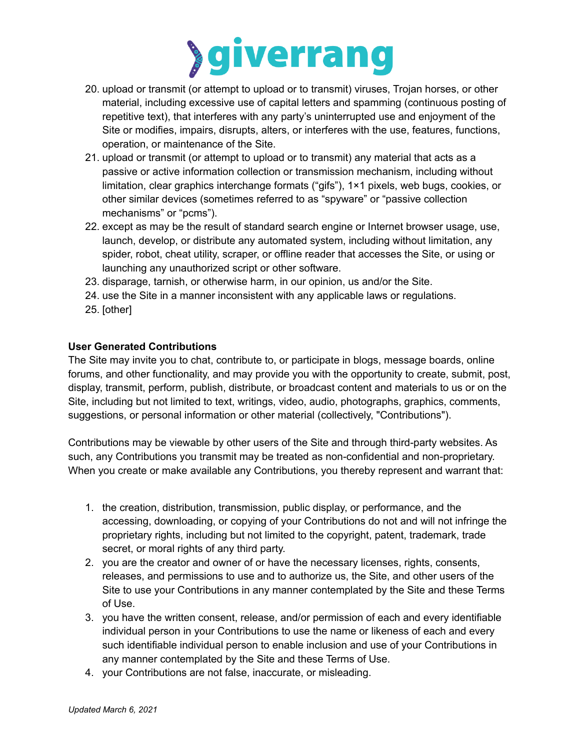

- 20. upload or transmit (or attempt to upload or to transmit) viruses, Trojan horses, or other material, including excessive use of capital letters and spamming (continuous posting of repetitive text), that interferes with any party's uninterrupted use and enjoyment of the Site or modifies, impairs, disrupts, alters, or interferes with the use, features, functions, operation, or maintenance of the Site.
- 21. upload or transmit (or attempt to upload or to transmit) any material that acts as a passive or active information collection or transmission mechanism, including without limitation, clear graphics interchange formats ("gifs"), 1×1 pixels, web bugs, cookies, or other similar devices (sometimes referred to as "spyware" or "passive collection mechanisms" or "pcms").
- 22. except as may be the result of standard search engine or Internet browser usage, use, launch, develop, or distribute any automated system, including without limitation, any spider, robot, cheat utility, scraper, or offline reader that accesses the Site, or using or launching any unauthorized script or other software.
- 23. disparage, tarnish, or otherwise harm, in our opinion, us and/or the Site.
- 24. use the Site in a manner inconsistent with any applicable laws or regulations.
- 25. [other]

## **User Generated Contributions**

The Site may invite you to chat, contribute to, or participate in blogs, message boards, online forums, and other functionality, and may provide you with the opportunity to create, submit, post, display, transmit, perform, publish, distribute, or broadcast content and materials to us or on the Site, including but not limited to text, writings, video, audio, photographs, graphics, comments, suggestions, or personal information or other material (collectively, "Contributions").

Contributions may be viewable by other users of the Site and through third-party websites. As such, any Contributions you transmit may be treated as non-confidential and non-proprietary. When you create or make available any Contributions, you thereby represent and warrant that:

- 1. the creation, distribution, transmission, public display, or performance, and the accessing, downloading, or copying of your Contributions do not and will not infringe the proprietary rights, including but not limited to the copyright, patent, trademark, trade secret, or moral rights of any third party.
- 2. you are the creator and owner of or have the necessary licenses, rights, consents, releases, and permissions to use and to authorize us, the Site, and other users of the Site to use your Contributions in any manner contemplated by the Site and these Terms of Use.
- 3. you have the written consent, release, and/or permission of each and every identifiable individual person in your Contributions to use the name or likeness of each and every such identifiable individual person to enable inclusion and use of your Contributions in any manner contemplated by the Site and these Terms of Use.
- 4. your Contributions are not false, inaccurate, or misleading.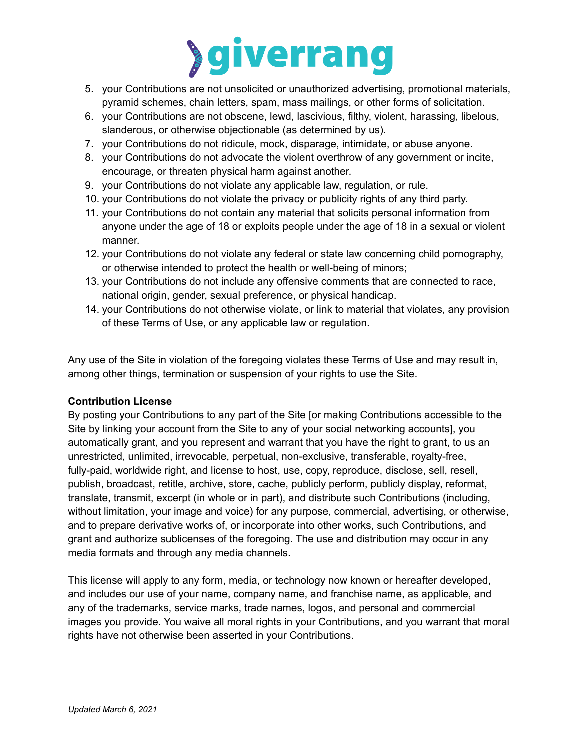

- 5. your Contributions are not unsolicited or unauthorized advertising, promotional materials, pyramid schemes, chain letters, spam, mass mailings, or other forms of solicitation.
- 6. your Contributions are not obscene, lewd, lascivious, filthy, violent, harassing, libelous, slanderous, or otherwise objectionable (as determined by us).
- 7. your Contributions do not ridicule, mock, disparage, intimidate, or abuse anyone.
- 8. your Contributions do not advocate the violent overthrow of any government or incite, encourage, or threaten physical harm against another.
- 9. your Contributions do not violate any applicable law, regulation, or rule.
- 10. your Contributions do not violate the privacy or publicity rights of any third party.
- 11. your Contributions do not contain any material that solicits personal information from anyone under the age of 18 or exploits people under the age of 18 in a sexual or violent manner.
- 12. your Contributions do not violate any federal or state law concerning child pornography, or otherwise intended to protect the health or well-being of minors;
- 13. your Contributions do not include any offensive comments that are connected to race, national origin, gender, sexual preference, or physical handicap.
- 14. your Contributions do not otherwise violate, or link to material that violates, any provision of these Terms of Use, or any applicable law or regulation.

Any use of the Site in violation of the foregoing violates these Terms of Use and may result in, among other things, termination or suspension of your rights to use the Site.

## **Contribution License**

By posting your Contributions to any part of the Site [or making Contributions accessible to the Site by linking your account from the Site to any of your social networking accounts], you automatically grant, and you represent and warrant that you have the right to grant, to us an unrestricted, unlimited, irrevocable, perpetual, non-exclusive, transferable, royalty-free, fully-paid, worldwide right, and license to host, use, copy, reproduce, disclose, sell, resell, publish, broadcast, retitle, archive, store, cache, publicly perform, publicly display, reformat, translate, transmit, excerpt (in whole or in part), and distribute such Contributions (including, without limitation, your image and voice) for any purpose, commercial, advertising, or otherwise, and to prepare derivative works of, or incorporate into other works, such Contributions, and grant and authorize sublicenses of the foregoing. The use and distribution may occur in any media formats and through any media channels.

This license will apply to any form, media, or technology now known or hereafter developed, and includes our use of your name, company name, and franchise name, as applicable, and any of the trademarks, service marks, trade names, logos, and personal and commercial images you provide. You waive all moral rights in your Contributions, and you warrant that moral rights have not otherwise been asserted in your Contributions.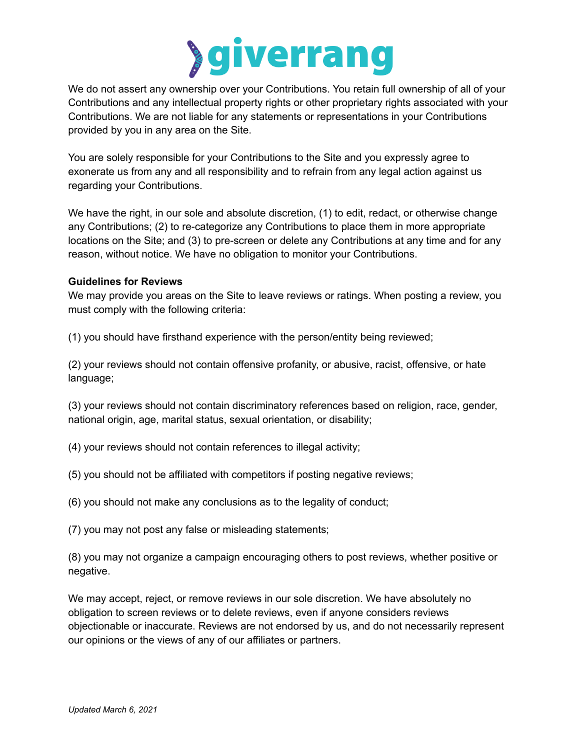

We do not assert any ownership over your Contributions. You retain full ownership of all of your Contributions and any intellectual property rights or other proprietary rights associated with your Contributions. We are not liable for any statements or representations in your Contributions provided by you in any area on the Site.

You are solely responsible for your Contributions to the Site and you expressly agree to exonerate us from any and all responsibility and to refrain from any legal action against us regarding your Contributions.

We have the right, in our sole and absolute discretion, (1) to edit, redact, or otherwise change any Contributions; (2) to re-categorize any Contributions to place them in more appropriate locations on the Site; and (3) to pre-screen or delete any Contributions at any time and for any reason, without notice. We have no obligation to monitor your Contributions.

#### **Guidelines for Reviews**

We may provide you areas on the Site to leave reviews or ratings. When posting a review, you must comply with the following criteria:

(1) you should have firsthand experience with the person/entity being reviewed;

(2) your reviews should not contain offensive profanity, or abusive, racist, offensive, or hate language;

(3) your reviews should not contain discriminatory references based on religion, race, gender, national origin, age, marital status, sexual orientation, or disability;

- (4) your reviews should not contain references to illegal activity;
- (5) you should not be affiliated with competitors if posting negative reviews;
- (6) you should not make any conclusions as to the legality of conduct;

(7) you may not post any false or misleading statements;

(8) you may not organize a campaign encouraging others to post reviews, whether positive or negative.

We may accept, reject, or remove reviews in our sole discretion. We have absolutely no obligation to screen reviews or to delete reviews, even if anyone considers reviews objectionable or inaccurate. Reviews are not endorsed by us, and do not necessarily represent our opinions or the views of any of our affiliates or partners.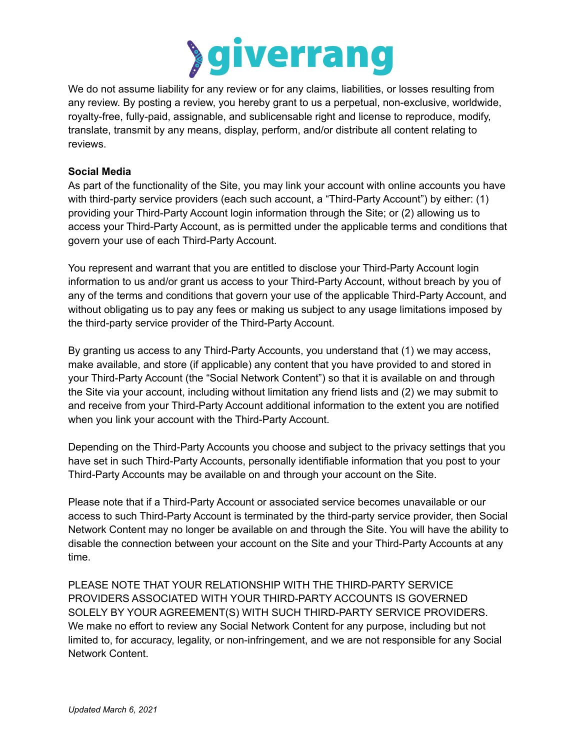

We do not assume liability for any review or for any claims, liabilities, or losses resulting from any review. By posting a review, you hereby grant to us a perpetual, non-exclusive, worldwide, royalty-free, fully-paid, assignable, and sublicensable right and license to reproduce, modify, translate, transmit by any means, display, perform, and/or distribute all content relating to reviews.

## **Social Media**

As part of the functionality of the Site, you may link your account with online accounts you have with third-party service providers (each such account, a "Third-Party Account") by either: (1) providing your Third-Party Account login information through the Site; or (2) allowing us to access your Third-Party Account, as is permitted under the applicable terms and conditions that govern your use of each Third-Party Account.

You represent and warrant that you are entitled to disclose your Third-Party Account login information to us and/or grant us access to your Third-Party Account, without breach by you of any of the terms and conditions that govern your use of the applicable Third-Party Account, and without obligating us to pay any fees or making us subject to any usage limitations imposed by the third-party service provider of the Third-Party Account.

By granting us access to any Third-Party Accounts, you understand that (1) we may access, make available, and store (if applicable) any content that you have provided to and stored in your Third-Party Account (the "Social Network Content") so that it is available on and through the Site via your account, including without limitation any friend lists and (2) we may submit to and receive from your Third-Party Account additional information to the extent you are notified when you link your account with the Third-Party Account.

Depending on the Third-Party Accounts you choose and subject to the privacy settings that you have set in such Third-Party Accounts, personally identifiable information that you post to your Third-Party Accounts may be available on and through your account on the Site.

Please note that if a Third-Party Account or associated service becomes unavailable or our access to such Third-Party Account is terminated by the third-party service provider, then Social Network Content may no longer be available on and through the Site. You will have the ability to disable the connection between your account on the Site and your Third-Party Accounts at any time.

PLEASE NOTE THAT YOUR RELATIONSHIP WITH THE THIRD-PARTY SERVICE PROVIDERS ASSOCIATED WITH YOUR THIRD-PARTY ACCOUNTS IS GOVERNED SOLELY BY YOUR AGREEMENT(S) WITH SUCH THIRD-PARTY SERVICE PROVIDERS. We make no effort to review any Social Network Content for any purpose, including but not limited to, for accuracy, legality, or non-infringement, and we are not responsible for any Social Network Content.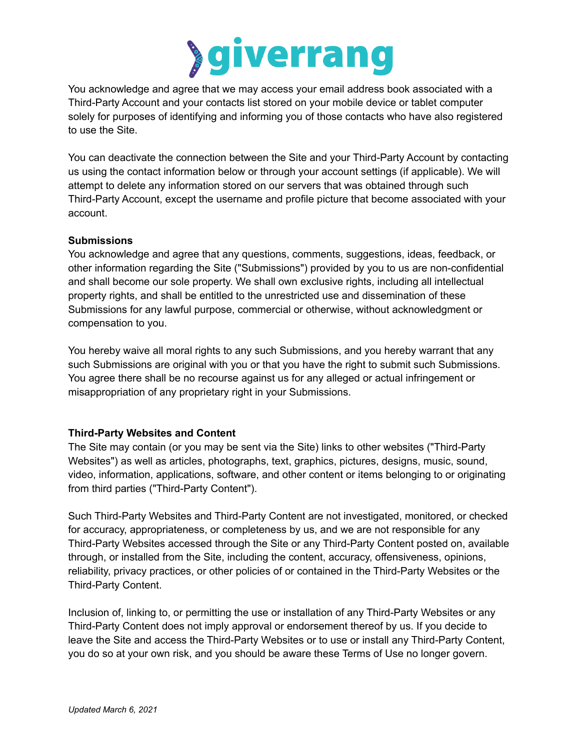

You acknowledge and agree that we may access your email address book associated with a Third-Party Account and your contacts list stored on your mobile device or tablet computer solely for purposes of identifying and informing you of those contacts who have also registered to use the Site.

You can deactivate the connection between the Site and your Third-Party Account by contacting us using the contact information below or through your account settings (if applicable). We will attempt to delete any information stored on our servers that was obtained through such Third-Party Account, except the username and profile picture that become associated with your account.

#### **Submissions**

You acknowledge and agree that any questions, comments, suggestions, ideas, feedback, or other information regarding the Site ("Submissions") provided by you to us are non-confidential and shall become our sole property. We shall own exclusive rights, including all intellectual property rights, and shall be entitled to the unrestricted use and dissemination of these Submissions for any lawful purpose, commercial or otherwise, without acknowledgment or compensation to you.

You hereby waive all moral rights to any such Submissions, and you hereby warrant that any such Submissions are original with you or that you have the right to submit such Submissions. You agree there shall be no recourse against us for any alleged or actual infringement or misappropriation of any proprietary right in your Submissions.

## **Third-Party Websites and Content**

The Site may contain (or you may be sent via the Site) links to other websites ("Third-Party Websites") as well as articles, photographs, text, graphics, pictures, designs, music, sound, video, information, applications, software, and other content or items belonging to or originating from third parties ("Third-Party Content").

Such Third-Party Websites and Third-Party Content are not investigated, monitored, or checked for accuracy, appropriateness, or completeness by us, and we are not responsible for any Third-Party Websites accessed through the Site or any Third-Party Content posted on, available through, or installed from the Site, including the content, accuracy, offensiveness, opinions, reliability, privacy practices, or other policies of or contained in the Third-Party Websites or the Third-Party Content.

Inclusion of, linking to, or permitting the use or installation of any Third-Party Websites or any Third-Party Content does not imply approval or endorsement thereof by us. If you decide to leave the Site and access the Third-Party Websites or to use or install any Third-Party Content, you do so at your own risk, and you should be aware these Terms of Use no longer govern.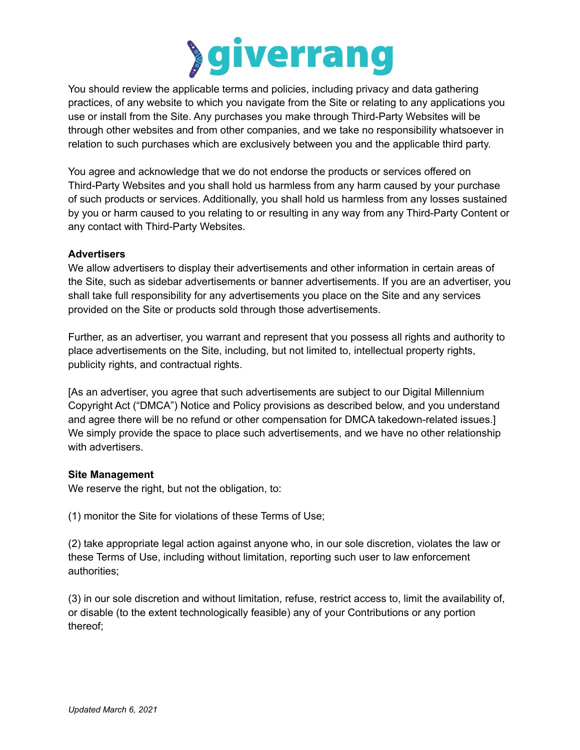

You should review the applicable terms and policies, including privacy and data gathering practices, of any website to which you navigate from the Site or relating to any applications you use or install from the Site. Any purchases you make through Third-Party Websites will be through other websites and from other companies, and we take no responsibility whatsoever in relation to such purchases which are exclusively between you and the applicable third party.

You agree and acknowledge that we do not endorse the products or services offered on Third-Party Websites and you shall hold us harmless from any harm caused by your purchase of such products or services. Additionally, you shall hold us harmless from any losses sustained by you or harm caused to you relating to or resulting in any way from any Third-Party Content or any contact with Third-Party Websites.

## **Advertisers**

We allow advertisers to display their advertisements and other information in certain areas of the Site, such as sidebar advertisements or banner advertisements. If you are an advertiser, you shall take full responsibility for any advertisements you place on the Site and any services provided on the Site or products sold through those advertisements.

Further, as an advertiser, you warrant and represent that you possess all rights and authority to place advertisements on the Site, including, but not limited to, intellectual property rights, publicity rights, and contractual rights.

[As an advertiser, you agree that such advertisements are subject to our Digital Millennium Copyright Act ("DMCA") Notice and Policy provisions as described below, and you understand and agree there will be no refund or other compensation for DMCA takedown-related issues.] We simply provide the space to place such advertisements, and we have no other relationship with advertisers.

## **Site Management**

We reserve the right, but not the obligation, to:

(1) monitor the Site for violations of these Terms of Use;

(2) take appropriate legal action against anyone who, in our sole discretion, violates the law or these Terms of Use, including without limitation, reporting such user to law enforcement authorities;

(3) in our sole discretion and without limitation, refuse, restrict access to, limit the availability of, or disable (to the extent technologically feasible) any of your Contributions or any portion thereof;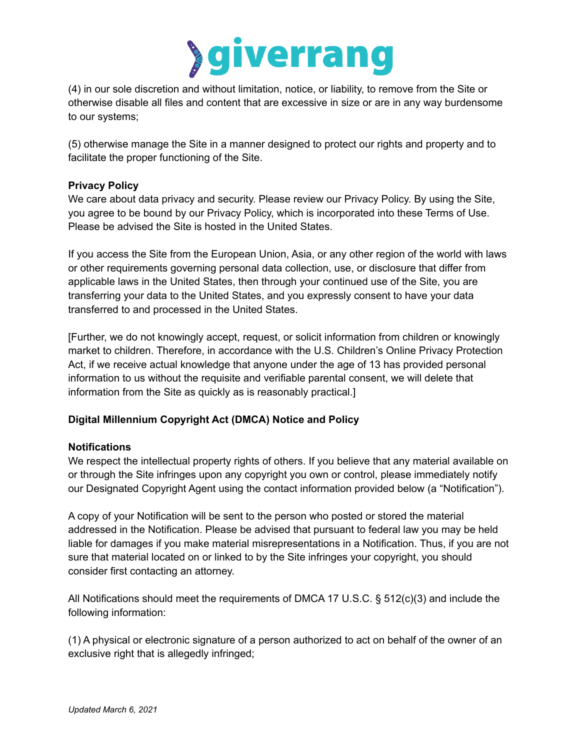

(4) in our sole discretion and without limitation, notice, or liability, to remove from the Site or otherwise disable all files and content that are excessive in size or are in any way burdensome to our systems;

(5) otherwise manage the Site in a manner designed to protect our rights and property and to facilitate the proper functioning of the Site.

## **Privacy Policy**

We care about data privacy and security. Please review our Privacy Policy. By using the Site, you agree to be bound by our Privacy Policy, which is incorporated into these Terms of Use. Please be advised the Site is hosted in the United States.

If you access the Site from the European Union, Asia, or any other region of the world with laws or other requirements governing personal data collection, use, or disclosure that differ from applicable laws in the United States, then through your continued use of the Site, you are transferring your data to the United States, and you expressly consent to have your data transferred to and processed in the United States.

[Further, we do not knowingly accept, request, or solicit information from children or knowingly market to children. Therefore, in accordance with the U.S. Children's Online Privacy Protection Act, if we receive actual knowledge that anyone under the age of 13 has provided personal information to us without the requisite and verifiable parental consent, we will delete that information from the Site as quickly as is reasonably practical.]

# **Digital Millennium Copyright Act (DMCA) Notice and Policy**

## **Notifications**

We respect the intellectual property rights of others. If you believe that any material available on or through the Site infringes upon any copyright you own or control, please immediately notify our Designated Copyright Agent using the contact information provided below (a "Notification").

A copy of your Notification will be sent to the person who posted or stored the material addressed in the Notification. Please be advised that pursuant to federal law you may be held liable for damages if you make material misrepresentations in a Notification. Thus, if you are not sure that material located on or linked to by the Site infringes your copyright, you should consider first contacting an attorney.

All Notifications should meet the requirements of DMCA 17 U.S.C. § 512(c)(3) and include the following information:

(1) A physical or electronic signature of a person authorized to act on behalf of the owner of an exclusive right that is allegedly infringed;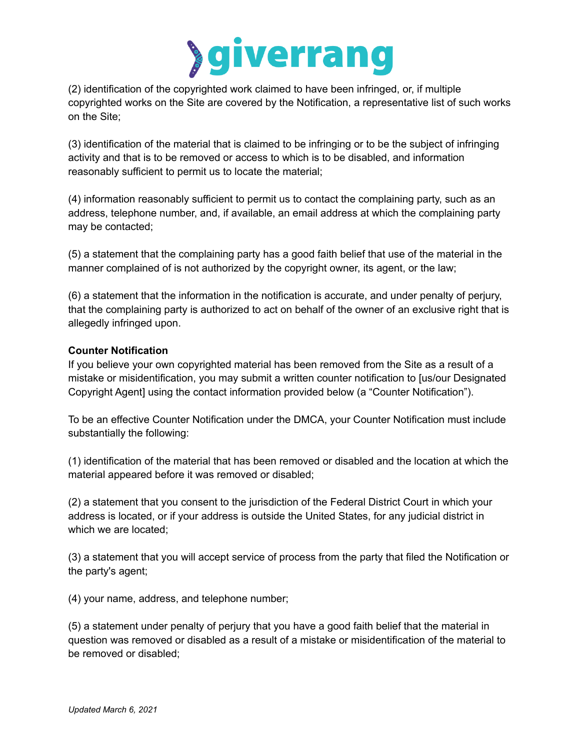

(2) identification of the copyrighted work claimed to have been infringed, or, if multiple copyrighted works on the Site are covered by the Notification, a representative list of such works on the Site;

(3) identification of the material that is claimed to be infringing or to be the subject of infringing activity and that is to be removed or access to which is to be disabled, and information reasonably sufficient to permit us to locate the material;

(4) information reasonably sufficient to permit us to contact the complaining party, such as an address, telephone number, and, if available, an email address at which the complaining party may be contacted;

(5) a statement that the complaining party has a good faith belief that use of the material in the manner complained of is not authorized by the copyright owner, its agent, or the law;

(6) a statement that the information in the notification is accurate, and under penalty of perjury, that the complaining party is authorized to act on behalf of the owner of an exclusive right that is allegedly infringed upon.

## **Counter Notification**

If you believe your own copyrighted material has been removed from the Site as a result of a mistake or misidentification, you may submit a written counter notification to [us/our Designated Copyright Agent] using the contact information provided below (a "Counter Notification").

To be an effective Counter Notification under the DMCA, your Counter Notification must include substantially the following:

(1) identification of the material that has been removed or disabled and the location at which the material appeared before it was removed or disabled;

(2) a statement that you consent to the jurisdiction of the Federal District Court in which your address is located, or if your address is outside the United States, for any judicial district in which we are located;

(3) a statement that you will accept service of process from the party that filed the Notification or the party's agent;

(4) your name, address, and telephone number;

(5) a statement under penalty of perjury that you have a good faith belief that the material in question was removed or disabled as a result of a mistake or misidentification of the material to be removed or disabled;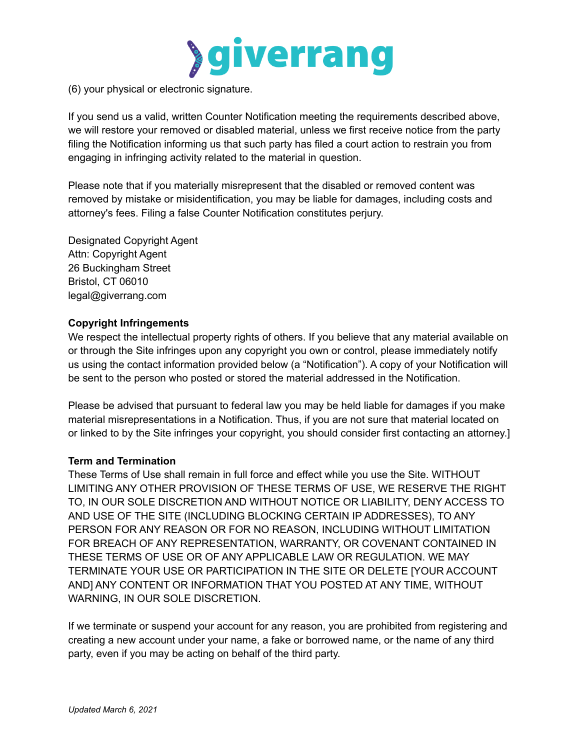

(6) your physical or electronic signature.

If you send us a valid, written Counter Notification meeting the requirements described above, we will restore your removed or disabled material, unless we first receive notice from the party filing the Notification informing us that such party has filed a court action to restrain you from engaging in infringing activity related to the material in question.

Please note that if you materially misrepresent that the disabled or removed content was removed by mistake or misidentification, you may be liable for damages, including costs and attorney's fees. Filing a false Counter Notification constitutes perjury.

Designated Copyright Agent Attn: Copyright Agent 26 Buckingham Street Bristol, CT 06010 legal@giverrang.com

## **Copyright Infringements**

We respect the intellectual property rights of others. If you believe that any material available on or through the Site infringes upon any copyright you own or control, please immediately notify us using the contact information provided below (a "Notification"). A copy of your Notification will be sent to the person who posted or stored the material addressed in the Notification.

Please be advised that pursuant to federal law you may be held liable for damages if you make material misrepresentations in a Notification. Thus, if you are not sure that material located on or linked to by the Site infringes your copyright, you should consider first contacting an attorney.]

## **Term and Termination**

These Terms of Use shall remain in full force and effect while you use the Site. WITHOUT LIMITING ANY OTHER PROVISION OF THESE TERMS OF USE, WE RESERVE THE RIGHT TO, IN OUR SOLE DISCRETION AND WITHOUT NOTICE OR LIABILITY, DENY ACCESS TO AND USE OF THE SITE (INCLUDING BLOCKING CERTAIN IP ADDRESSES), TO ANY PERSON FOR ANY REASON OR FOR NO REASON, INCLUDING WITHOUT LIMITATION FOR BREACH OF ANY REPRESENTATION, WARRANTY, OR COVENANT CONTAINED IN THESE TERMS OF USE OR OF ANY APPLICABLE LAW OR REGULATION. WE MAY TERMINATE YOUR USE OR PARTICIPATION IN THE SITE OR DELETE [YOUR ACCOUNT AND] ANY CONTENT OR INFORMATION THAT YOU POSTED AT ANY TIME, WITHOUT WARNING, IN OUR SOLE DISCRETION.

If we terminate or suspend your account for any reason, you are prohibited from registering and creating a new account under your name, a fake or borrowed name, or the name of any third party, even if you may be acting on behalf of the third party.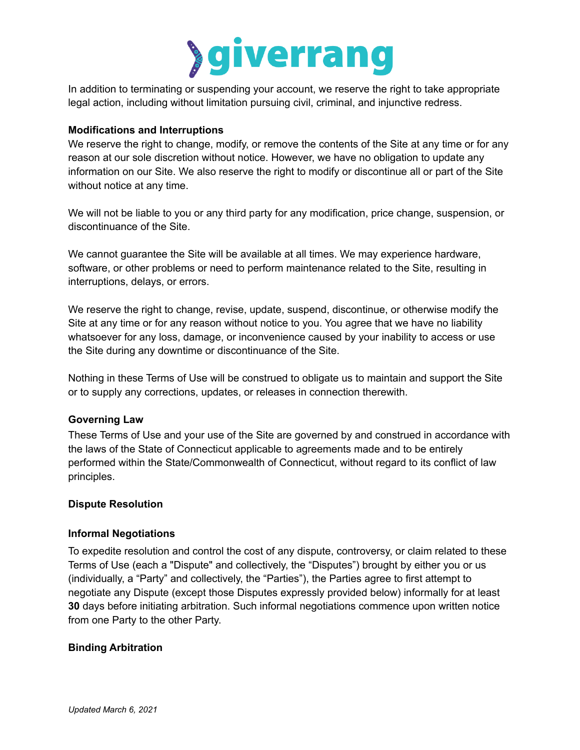

In addition to terminating or suspending your account, we reserve the right to take appropriate legal action, including without limitation pursuing civil, criminal, and injunctive redress.

#### **Modifications and Interruptions**

We reserve the right to change, modify, or remove the contents of the Site at any time or for any reason at our sole discretion without notice. However, we have no obligation to update any information on our Site. We also reserve the right to modify or discontinue all or part of the Site without notice at any time.

We will not be liable to you or any third party for any modification, price change, suspension, or discontinuance of the Site.

We cannot guarantee the Site will be available at all times. We may experience hardware, software, or other problems or need to perform maintenance related to the Site, resulting in interruptions, delays, or errors.

We reserve the right to change, revise, update, suspend, discontinue, or otherwise modify the Site at any time or for any reason without notice to you. You agree that we have no liability whatsoever for any loss, damage, or inconvenience caused by your inability to access or use the Site during any downtime or discontinuance of the Site.

Nothing in these Terms of Use will be construed to obligate us to maintain and support the Site or to supply any corrections, updates, or releases in connection therewith.

## **Governing Law**

These Terms of Use and your use of the Site are governed by and construed in accordance with the laws of the State of Connecticut applicable to agreements made and to be entirely performed within the State/Commonwealth of Connecticut, without regard to its conflict of law principles.

#### **Dispute Resolution**

#### **Informal Negotiations**

To expedite resolution and control the cost of any dispute, controversy, or claim related to these Terms of Use (each a "Dispute" and collectively, the "Disputes") brought by either you or us (individually, a "Party" and collectively, the "Parties"), the Parties agree to first attempt to negotiate any Dispute (except those Disputes expressly provided below) informally for at least **30** days before initiating arbitration. Such informal negotiations commence upon written notice from one Party to the other Party.

## **Binding Arbitration**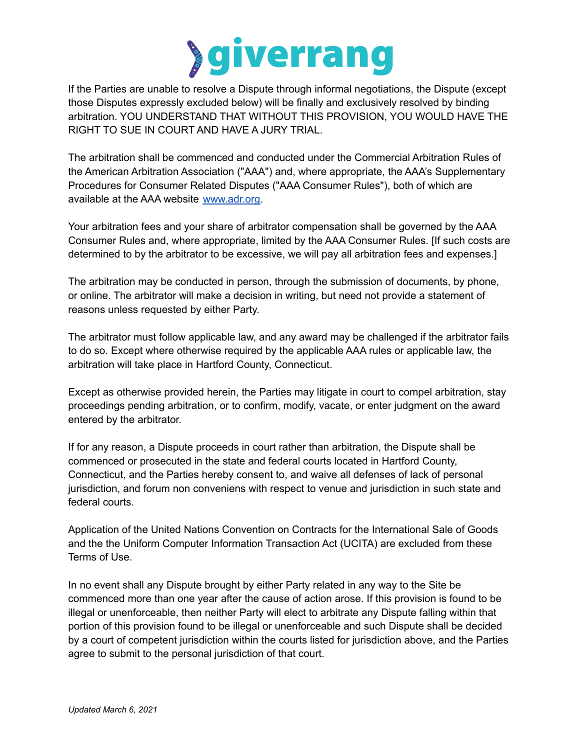

If the Parties are unable to resolve a Dispute through informal negotiations, the Dispute (except those Disputes expressly excluded below) will be finally and exclusively resolved by binding arbitration. YOU UNDERSTAND THAT WITHOUT THIS PROVISION, YOU WOULD HAVE THE RIGHT TO SUE IN COURT AND HAVE A JURY TRIAL.

The arbitration shall be commenced and conducted under the Commercial Arbitration Rules of the American Arbitration Association ("AAA") and, where appropriate, the AAA's Supplementary Procedures for Consumer Related Disputes ("AAA Consumer Rules"), both of which are available at the AAA website [www.adr.org.](http://www.adr.org)

Your arbitration fees and your share of arbitrator compensation shall be governed by the AAA Consumer Rules and, where appropriate, limited by the AAA Consumer Rules. [If such costs are determined to by the arbitrator to be excessive, we will pay all arbitration fees and expenses.]

The arbitration may be conducted in person, through the submission of documents, by phone, or online. The arbitrator will make a decision in writing, but need not provide a statement of reasons unless requested by either Party.

The arbitrator must follow applicable law, and any award may be challenged if the arbitrator fails to do so. Except where otherwise required by the applicable AAA rules or applicable law, the arbitration will take place in Hartford County, Connecticut.

Except as otherwise provided herein, the Parties may litigate in court to compel arbitration, stay proceedings pending arbitration, or to confirm, modify, vacate, or enter judgment on the award entered by the arbitrator.

If for any reason, a Dispute proceeds in court rather than arbitration, the Dispute shall be commenced or prosecuted in the state and federal courts located in Hartford County, Connecticut, and the Parties hereby consent to, and waive all defenses of lack of personal jurisdiction, and forum non conveniens with respect to venue and jurisdiction in such state and federal courts.

Application of the United Nations Convention on Contracts for the International Sale of Goods and the the Uniform Computer Information Transaction Act (UCITA) are excluded from these Terms of Use.

In no event shall any Dispute brought by either Party related in any way to the Site be commenced more than one year after the cause of action arose. If this provision is found to be illegal or unenforceable, then neither Party will elect to arbitrate any Dispute falling within that portion of this provision found to be illegal or unenforceable and such Dispute shall be decided by a court of competent jurisdiction within the courts listed for jurisdiction above, and the Parties agree to submit to the personal jurisdiction of that court.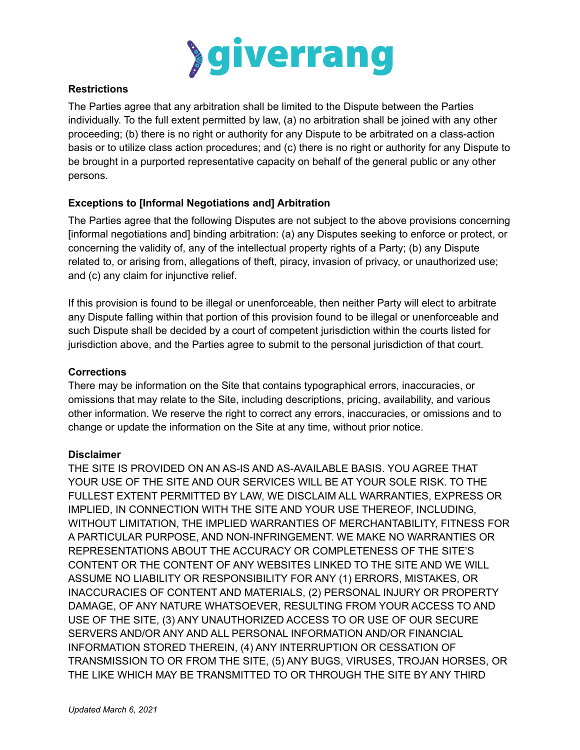

# **Restrictions**

The Parties agree that any arbitration shall be limited to the Dispute between the Parties individually. To the full extent permitted by law, (a) no arbitration shall be joined with any other proceeding; (b) there is no right or authority for any Dispute to be arbitrated on a class-action basis or to utilize class action procedures; and (c) there is no right or authority for any Dispute to be brought in a purported representative capacity on behalf of the general public or any other persons.

# **Exceptions to [Informal Negotiations and] Arbitration**

The Parties agree that the following Disputes are not subject to the above provisions concerning [informal negotiations and] binding arbitration: (a) any Disputes seeking to enforce or protect, or concerning the validity of, any of the intellectual property rights of a Party; (b) any Dispute related to, or arising from, allegations of theft, piracy, invasion of privacy, or unauthorized use; and (c) any claim for injunctive relief.

If this provision is found to be illegal or unenforceable, then neither Party will elect to arbitrate any Dispute falling within that portion of this provision found to be illegal or unenforceable and such Dispute shall be decided by a court of competent jurisdiction within the courts listed for jurisdiction above, and the Parties agree to submit to the personal jurisdiction of that court.

# **Corrections**

There may be information on the Site that contains typographical errors, inaccuracies, or omissions that may relate to the Site, including descriptions, pricing, availability, and various other information. We reserve the right to correct any errors, inaccuracies, or omissions and to change or update the information on the Site at any time, without prior notice.

## **Disclaimer**

THE SITE IS PROVIDED ON AN AS-IS AND AS-AVAILABLE BASIS. YOU AGREE THAT YOUR USE OF THE SITE AND OUR SERVICES WILL BE AT YOUR SOLE RISK. TO THE FULLEST EXTENT PERMITTED BY LAW, WE DISCLAIM ALL WARRANTIES, EXPRESS OR IMPLIED, IN CONNECTION WITH THE SITE AND YOUR USE THEREOF, INCLUDING, WITHOUT LIMITATION, THE IMPLIED WARRANTIES OF MERCHANTABILITY, FITNESS FOR A PARTICULAR PURPOSE, AND NON-INFRINGEMENT. WE MAKE NO WARRANTIES OR REPRESENTATIONS ABOUT THE ACCURACY OR COMPLETENESS OF THE SITE'S CONTENT OR THE CONTENT OF ANY WEBSITES LINKED TO THE SITE AND WE WILL ASSUME NO LIABILITY OR RESPONSIBILITY FOR ANY (1) ERRORS, MISTAKES, OR INACCURACIES OF CONTENT AND MATERIALS, (2) PERSONAL INJURY OR PROPERTY DAMAGE, OF ANY NATURE WHATSOEVER, RESULTING FROM YOUR ACCESS TO AND USE OF THE SITE, (3) ANY UNAUTHORIZED ACCESS TO OR USE OF OUR SECURE SERVERS AND/OR ANY AND ALL PERSONAL INFORMATION AND/OR FINANCIAL INFORMATION STORED THEREIN, (4) ANY INTERRUPTION OR CESSATION OF TRANSMISSION TO OR FROM THE SITE, (5) ANY BUGS, VIRUSES, TROJAN HORSES, OR THE LIKE WHICH MAY BE TRANSMITTED TO OR THROUGH THE SITE BY ANY THIRD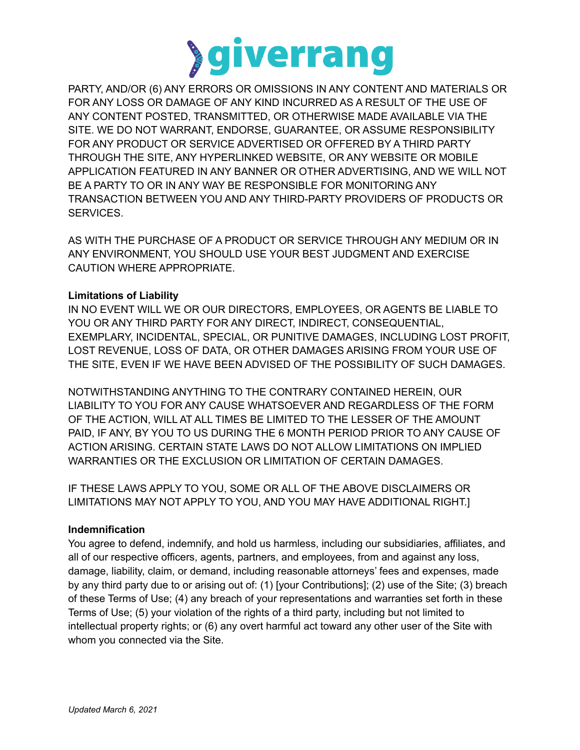

PARTY, AND/OR (6) ANY ERRORS OR OMISSIONS IN ANY CONTENT AND MATERIALS OR FOR ANY LOSS OR DAMAGE OF ANY KIND INCURRED AS A RESULT OF THE USE OF ANY CONTENT POSTED, TRANSMITTED, OR OTHERWISE MADE AVAILABLE VIA THE SITE. WE DO NOT WARRANT, ENDORSE, GUARANTEE, OR ASSUME RESPONSIBILITY FOR ANY PRODUCT OR SERVICE ADVERTISED OR OFFERED BY A THIRD PARTY THROUGH THE SITE, ANY HYPERLINKED WEBSITE, OR ANY WEBSITE OR MOBILE APPLICATION FEATURED IN ANY BANNER OR OTHER ADVERTISING, AND WE WILL NOT BE A PARTY TO OR IN ANY WAY BE RESPONSIBLE FOR MONITORING ANY TRANSACTION BETWEEN YOU AND ANY THIRD-PARTY PROVIDERS OF PRODUCTS OR SERVICES.

AS WITH THE PURCHASE OF A PRODUCT OR SERVICE THROUGH ANY MEDIUM OR IN ANY ENVIRONMENT, YOU SHOULD USE YOUR BEST JUDGMENT AND EXERCISE CAUTION WHERE APPROPRIATE.

## **Limitations of Liability**

IN NO EVENT WILL WE OR OUR DIRECTORS, EMPLOYEES, OR AGENTS BE LIABLE TO YOU OR ANY THIRD PARTY FOR ANY DIRECT, INDIRECT, CONSEQUENTIAL, EXEMPLARY, INCIDENTAL, SPECIAL, OR PUNITIVE DAMAGES, INCLUDING LOST PROFIT, LOST REVENUE, LOSS OF DATA, OR OTHER DAMAGES ARISING FROM YOUR USE OF THE SITE, EVEN IF WE HAVE BEEN ADVISED OF THE POSSIBILITY OF SUCH DAMAGES.

NOTWITHSTANDING ANYTHING TO THE CONTRARY CONTAINED HEREIN, OUR LIABILITY TO YOU FOR ANY CAUSE WHATSOEVER AND REGARDLESS OF THE FORM OF THE ACTION, WILL AT ALL TIMES BE LIMITED TO THE LESSER OF THE AMOUNT PAID, IF ANY, BY YOU TO US DURING THE 6 MONTH PERIOD PRIOR TO ANY CAUSE OF ACTION ARISING. CERTAIN STATE LAWS DO NOT ALLOW LIMITATIONS ON IMPLIED WARRANTIES OR THE EXCLUSION OR LIMITATION OF CERTAIN DAMAGES.

IF THESE LAWS APPLY TO YOU, SOME OR ALL OF THE ABOVE DISCLAIMERS OR LIMITATIONS MAY NOT APPLY TO YOU, AND YOU MAY HAVE ADDITIONAL RIGHT.]

## **Indemnification**

You agree to defend, indemnify, and hold us harmless, including our subsidiaries, affiliates, and all of our respective officers, agents, partners, and employees, from and against any loss, damage, liability, claim, or demand, including reasonable attorneys' fees and expenses, made by any third party due to or arising out of: (1) [your Contributions]; (2) use of the Site; (3) breach of these Terms of Use; (4) any breach of your representations and warranties set forth in these Terms of Use; (5) your violation of the rights of a third party, including but not limited to intellectual property rights; or (6) any overt harmful act toward any other user of the Site with whom you connected via the Site.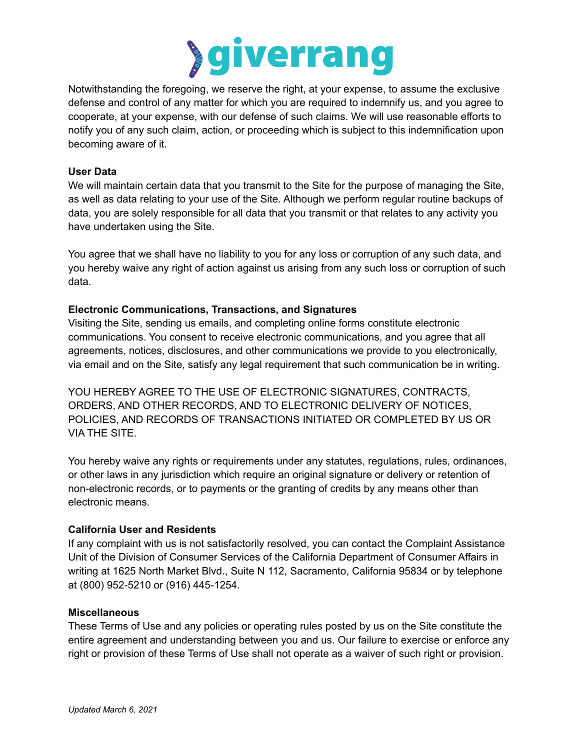

Notwithstanding the foregoing, we reserve the right, at your expense, to assume the exclusive defense and control of any matter for which you are required to indemnify us, and you agree to cooperate, at your expense, with our defense of such claims. We will use reasonable efforts to notify you of any such claim, action, or proceeding which is subject to this indemnification upon becoming aware of it.

## **User Data**

We will maintain certain data that you transmit to the Site for the purpose of managing the Site, as well as data relating to your use of the Site. Although we perform regular routine backups of data, you are solely responsible for all data that you transmit or that relates to any activity you have undertaken using the Site.

You agree that we shall have no liability to you for any loss or corruption of any such data, and you hereby waive any right of action against us arising from any such loss or corruption of such data.

#### **Electronic Communications, Transactions, and Signatures**

Visiting the Site, sending us emails, and completing online forms constitute electronic communications. You consent to receive electronic communications, and you agree that all agreements, notices, disclosures, and other communications we provide to you electronically, via email and on the Site, satisfy any legal requirement that such communication be in writing.

YOU HEREBY AGREE TO THE USE OF ELECTRONIC SIGNATURES, CONTRACTS, ORDERS, AND OTHER RECORDS, AND TO ELECTRONIC DELIVERY OF NOTICES, POLICIES, AND RECORDS OF TRANSACTIONS INITIATED OR COMPLETED BY US OR VIA THE SITE.

You hereby waive any rights or requirements under any statutes, regulations, rules, ordinances, or other laws in any jurisdiction which require an original signature or delivery or retention of non-electronic records, or to payments or the granting of credits by any means other than electronic means.

#### **California User and Residents**

If any complaint with us is not satisfactorily resolved, you can contact the Complaint Assistance Unit of the Division of Consumer Services of the California Department of Consumer Affairs in writing at 1625 North Market Blvd., Suite N 112, Sacramento, California 95834 or by telephone at (800) 952-5210 or (916) 445-1254.

#### **Miscellaneous**

These Terms of Use and any policies or operating rules posted by us on the Site constitute the entire agreement and understanding between you and us. Our failure to exercise or enforce any right or provision of these Terms of Use shall not operate as a waiver of such right or provision.